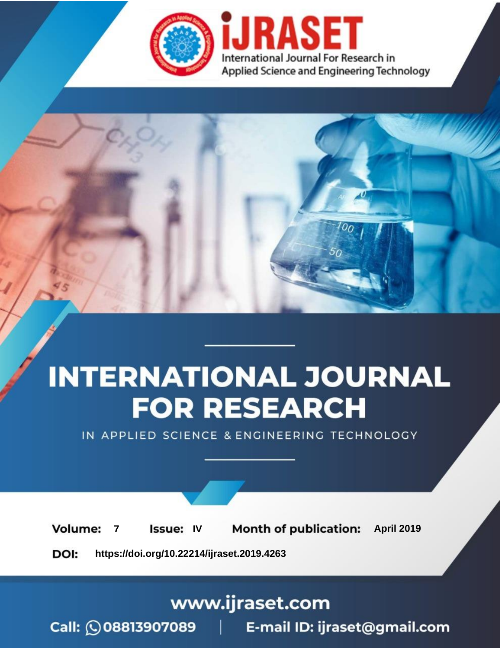

# **INTERNATIONAL JOURNAL FOR RESEARCH**

IN APPLIED SCIENCE & ENGINEERING TECHNOLOGY

**7 Issue: IV Month of publication:** April 2019 **Volume:** 

**https://doi.org/10.22214/ijraset.2019.4263**DOI:

### www.ijraset.com

Call: 008813907089 | E-mail ID: ijraset@gmail.com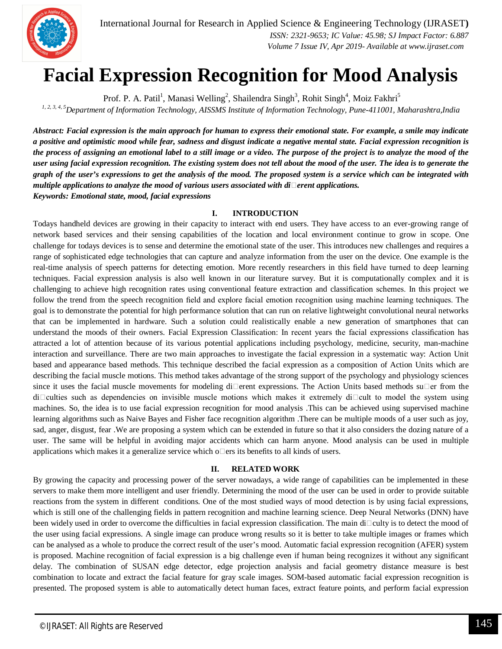

## **Facial Expression Recognition for Mood Analysis**

Prof. P. A. Patil<sup>1</sup>, Manasi Welling<sup>2</sup>, Shailendra Singh<sup>3</sup>, Rohit Singh<sup>4</sup>, Moiz Fakhri<sup>5</sup>

*1, 2, 3, 4, 5Department of Information Technology, AISSMS Institute of Information Technology, Pune-411001, Maharashtra,India*

*Abstract: Facial expression is the main approach for human to express their emotional state. For example, a smile may indicate a positive and optimistic mood while fear, sadness and disgust indicate a negative mental state. Facial expression recognition is the process of assigning an emotional label to a still image or a video. The purpose of the project is to analyze the mood of the user using facial expression recognition. The existing system does not tell about the mood of the user. The idea is to generate the graph of the user's expressions to get the analysis of the mood. The proposed system is a service which can be integrated with multiple applications to analyze the mood of various users associated with di*<sup>*erent applications.*</sup> *Keywords: Emotional state, mood, facial expressions*

#### **I. INTRODUCTION**

Todays handheld devices are growing in their capacity to interact with end users. They have access to an ever-growing range of network based services and their sensing capabilities of the location and local environment continue to grow in scope. One challenge for todays devices is to sense and determine the emotional state of the user. This introduces new challenges and requires a range of sophisticated edge technologies that can capture and analyze information from the user on the device. One example is the real-time analysis of speech patterns for detecting emotion. More recently researchers in this field have turned to deep learning techniques. Facial expression analysis is also well known in our literature survey. But it is computationally complex and it is challenging to achieve high recognition rates using conventional feature extraction and classification schemes. In this project we follow the trend from the speech recognition field and explore facial emotion recognition using machine learning techniques. The goal is to demonstrate the potential for high performance solution that can run on relative lightweight convolutional neural networks that can be implemented in hardware. Such a solution could realistically enable a new generation of smartphones that can understand the moods of their owners. Facial Expression Classification: In recent years the facial expressions classification has attracted a lot of attention because of its various potential applications including psychology, medicine, security, man-machine interaction and surveillance. There are two main approaches to investigate the facial expression in a systematic way: Action Unit based and appearance based methods. This technique described the facial expression as a composition of Action Units which are describing the facial muscle motions. This method takes advantage of the strong support of the psychology and physiology sciences since it uses the facial muscle movements for modeling di $\Box$ erent expressions. The Action Units based methods su $\Box$ er from the  $di$  disculties such as dependencies on invisible muscle motions which makes it extremely discult to model the system using machines. So, the idea is to use facial expression recognition for mood analysis .This can be achieved using supervised machine learning algorithms such as Naive Bayes and Fisher face recognition algorithm .There can be multiple moods of a user such as joy, sad, anger, disgust, fear .We are proposing a system which can be extended in future so that it also considers the dozing nature of a user. The same will be helpful in avoiding major accidents which can harm anyone. Mood analysis can be used in multiple applications which makes it a generalize service which  $\sigma \Box$  ers its benefits to all kinds of users.

#### **II. RELATED WORK**

By growing the capacity and processing power of the server nowadays, a wide range of capabilities can be implemented in these servers to make them more intelligent and user friendly. Determining the mood of the user can be used in order to provide suitable reactions from the system in different conditions. One of the most studied ways of mood detection is by using facial expressions, which is still one of the challenging fields in pattern recognition and machine learning science. Deep Neural Networks (DNN) have been widely used in order to overcome the difficulties in facial expression classification. The main dinutly is to detect the mood of the user using facial expressions. A single image can produce wrong results so it is better to take multiple images or frames which can be analysed as a whole to produce the correct result of the user's mood. Automatic facial expression recognition (AFER) system is proposed. Machine recognition of facial expression is a big challenge even if human being recognizes it without any significant delay. The combination of SUSAN edge detector, edge projection analysis and facial geometry distance measure is best combination to locate and extract the facial feature for gray scale images. SOM-based automatic facial expression recognition is presented. The proposed system is able to automatically detect human faces, extract feature points, and perform facial expression

5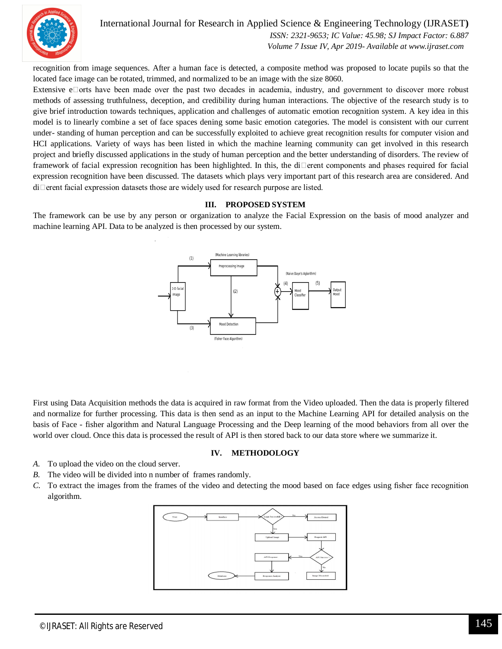

International Journal for Research in Applied Science & Engineering Technology (IJRASET**)**

 *ISSN: 2321-9653; IC Value: 45.98; SJ Impact Factor: 6.887 Volume 7 Issue IV, Apr 2019- Available at www.ijraset.com*

recognition from image sequences. After a human face is detected, a composite method was proposed to locate pupils so that the located face image can be rotated, trimmed, and normalized to be an image with the size 8060.

Extensive  $e$  orts have been made over the past two decades in academia, industry, and government to discover more robust methods of assessing truthfulness, deception, and credibility during human interactions. The objective of the research study is to give brief introduction towards techniques, application and challenges of automatic emotion recognition system. A key idea in this model is to linearly combine a set of face spaces dening some basic emotion categories. The model is consistent with our current under- standing of human perception and can be successfully exploited to achieve great recognition results for computer vision and HCI applications. Variety of ways has been listed in which the machine learning community can get involved in this research project and briefly discussed applications in the study of human perception and the better understanding of disorders. The review of framework of facial expression recognition has been highlighted. In this, the di $\Box$ erent components and phases required for facial expression recognition have been discussed. The datasets which plays very important part of this research area are considered. And  $di$  erent facial expression datasets those are widely used for research purpose are listed.

#### **III. PROPOSED SYSTEM**

The framework can be use by any person or organization to analyze the Facial Expression on the basis of mood analyzer and machine learning API. Data to be analyzed is then processed by our system.



First using Data Acquisition methods the data is acquired in raw format from the Video uploaded. Then the data is properly filtered and normalize for further processing. This data is then send as an input to the Machine Learning API for detailed analysis on the basis of Face - fisher algorithm and Natural Language Processing and the Deep learning of the mood behaviors from all over the world over cloud. Once this data is processed the result of API is then stored back to our data store where we summarize it.

#### **IV. METHODOLOGY**

- *A.* To upload the video on the cloud server.
- *B.* The video will be divided into n number of frames randomly.
- *C.* To extract the images from the frames of the video and detecting the mood based on face edges using fisher face recognition algorithm.



6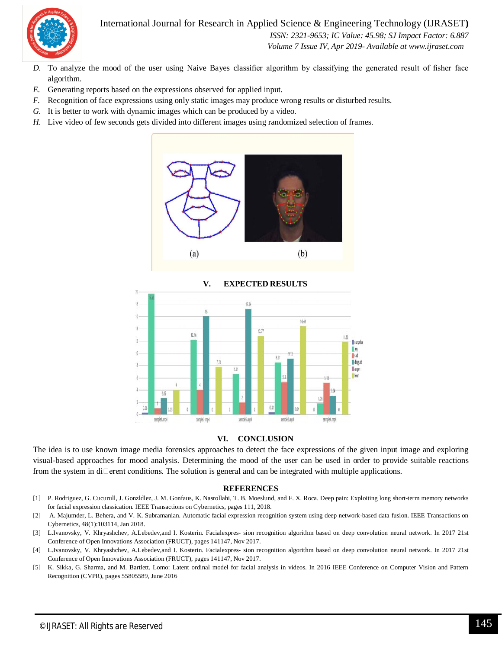



 *ISSN: 2321-9653; IC Value: 45.98; SJ Impact Factor: 6.887 Volume 7 Issue IV, Apr 2019- Available at www.ijraset.com*

<sup>1</sup>fear

- *D.* To analyze the mood of the user using Naive Bayes classifier algorithm by classifying the generated result of fisher face algorithm.
- *E.* Generating reports based on the expressions observed for applied input.

 $0.28$ 

- *F.* Recognition of face expressions using only static images may produce wrong results or disturbed results.
- *G.* It is better to work with dynamic images which can be produced by a video.
- *H.* Live video of few seconds gets divided into different images using randomized selection of frames.



sample5.mp4 sample2.mp4 sample1.mp4 sample3.mp/ sample4.mp4

#### **VI. CONCLUSION**

The idea is to use known image media forensics approaches to detect the face expressions of the given input image and exploring visual-based approaches for mood analysis. Determining the mood of the user can be used in order to provide suitable reactions from the system in di $\Box$ erent conditions. The solution is general and can be integrated with multiple applications.

#### **REFERENCES**

- [1] P. Rodriguez, G. Cucurull, J. Gonzldlez, J. M. Gonfaus, K. Nasrollahi, T. B. Moeslund, and F. X. Roca. Deep pain: Exploiting long short-term memory networks for facial expression classication. IEEE Transactions on Cybernetics, pages 111, 2018.
- [2] A. Majumder, L. Behera, and V. K. Subramanian. Automatic facial expression recognition system using deep network-based data fusion. IEEE Transactions on Cybernetics, 48(1):103114, Jan 2018.
- [3] L.Ivanovsky, V. Khryashchev, A.Lebedev,and I. Kosterin. Facialexpres- sion recognition algorithm based on deep convolution neural network. In 2017 21st Conference of Open Innovations Association (FRUCT), pages 141147, Nov 2017.
- [4] L.Ivanovsky, V. Khryashchev, A.Lebedev,and I. Kosterin. Facialexpres- sion recognition algorithm based on deep convolution neural network. In 2017 21st Conference of Open Innovations Association (FRUCT), pages 141147, Nov 2017.
- [5] K. Sikka, G. Sharma, and M. Bartlett. Lomo: Latent ordinal model for facial analysis in videos. In 2016 IEEE Conference on Computer Vision and Pattern Recognition (CVPR), pages 55805589, June 2016

7